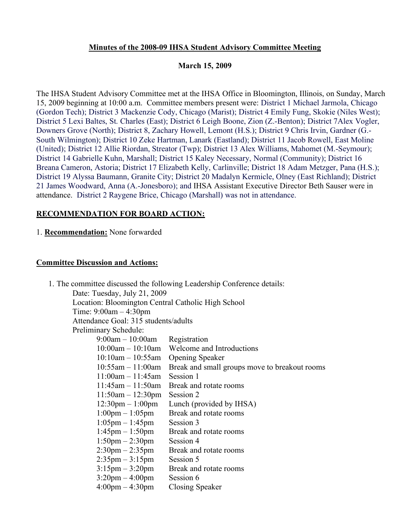# **Minutes of the 2008-09 IHSA Student Advisory Committee Meeting**

## **March 15, 2009**

The IHSA Student Advisory Committee met at the IHSA Office in Bloomington, Illinois, on Sunday, March 15, 2009 beginning at 10:00 a.m. Committee members present were: District 1 Michael Jarmola, Chicago (Gordon Tech); District 3 Mackenzie Cody, Chicago (Marist); District 4 Emily Fung, Skokie (Niles West); District 5 Lexi Baltes, St. Charles (East); District 6 Leigh Boone, Zion (Z.-Benton); District 7Alex Vogler, Downers Grove (North); District 8, Zachary Howell, Lemont (H.S.); District 9 Chris Irvin, Gardner (G.- South Wilmington); District 10 Zeke Hartman, Lanark (Eastland); District 11 Jacob Rowell, East Moline (United); District 12 Allie Riordan, Streator (Twp); District 13 Alex Williams, Mahomet (M.-Seymour); District 14 Gabrielle Kuhn, Marshall; District 15 Kaley Necessary, Normal (Community); District 16 Breana Cameron, Astoria; District 17 Elizabeth Kelly, Carlinville; District 18 Adam Metzger, Pana (H.S.); District 19 Alyssa Baumann, Granite City; District 20 Madalyn Kermicle, Olney (East Richland); District 21 James Woodward, Anna (A.-Jonesboro); and IHSA Assistant Executive Director Beth Sauser were in attendance. District 2 Raygene Brice, Chicago (Marshall) was not in attendance.

## **RECOMMENDATION FOR BOARD ACTION:**

### 1. **Recommendation:** None forwarded

### **Committee Discussion and Actions:**

| 1. The committee discussed the following Leadership Conference details: |                                                   |
|-------------------------------------------------------------------------|---------------------------------------------------|
| Date: Tuesday, July 21, 2009                                            |                                                   |
| Location: Bloomington Central Catholic High School                      |                                                   |
| Time: $9:00am - 4:30pm$                                                 |                                                   |
| Attendance Goal: 315 students/adults                                    |                                                   |
| Preliminary Schedule:                                                   |                                                   |
| $9:00am - 10:00am$ Registration                                         |                                                   |
|                                                                         | $10:00$ am $- 10:10$ am Welcome and Introductions |
| $10:10$ am $-10:55$ am Opening Speaker                                  |                                                   |
| $10:55$ am $-11:00$ am                                                  | Break and small groups move to breakout rooms     |
| $11:00$ am $-11:45$ am                                                  | Session 1                                         |
| $11:45$ am $-11:50$ am                                                  | Break and rotate rooms                            |
| $11:50$ am $-12:30$ pm                                                  | Session 2                                         |
| $12:30 \text{pm} - 1:00 \text{pm}$                                      | Lunch (provided by IHSA)                          |
| $1:00 \text{pm} - 1:05 \text{pm}$                                       | Break and rotate rooms                            |
| $1:05 \text{pm} - 1:45 \text{pm}$                                       | Session 3                                         |
| $1:45 \text{pm} - 1:50 \text{pm}$                                       | Break and rotate rooms                            |
| $1:50 \text{pm} - 2:30 \text{pm}$                                       | Session 4                                         |
| $2:30 \text{pm} - 2:35 \text{pm}$                                       | Break and rotate rooms                            |
| $2:35 \text{pm} - 3:15 \text{pm}$                                       | Session 5                                         |
| $3:15 \text{pm} - 3:20 \text{pm}$                                       | Break and rotate rooms                            |
| $3:20 \text{pm} - 4:00 \text{pm}$                                       | Session 6                                         |
| $4:00 \text{pm} - 4:30 \text{pm}$                                       | <b>Closing Speaker</b>                            |